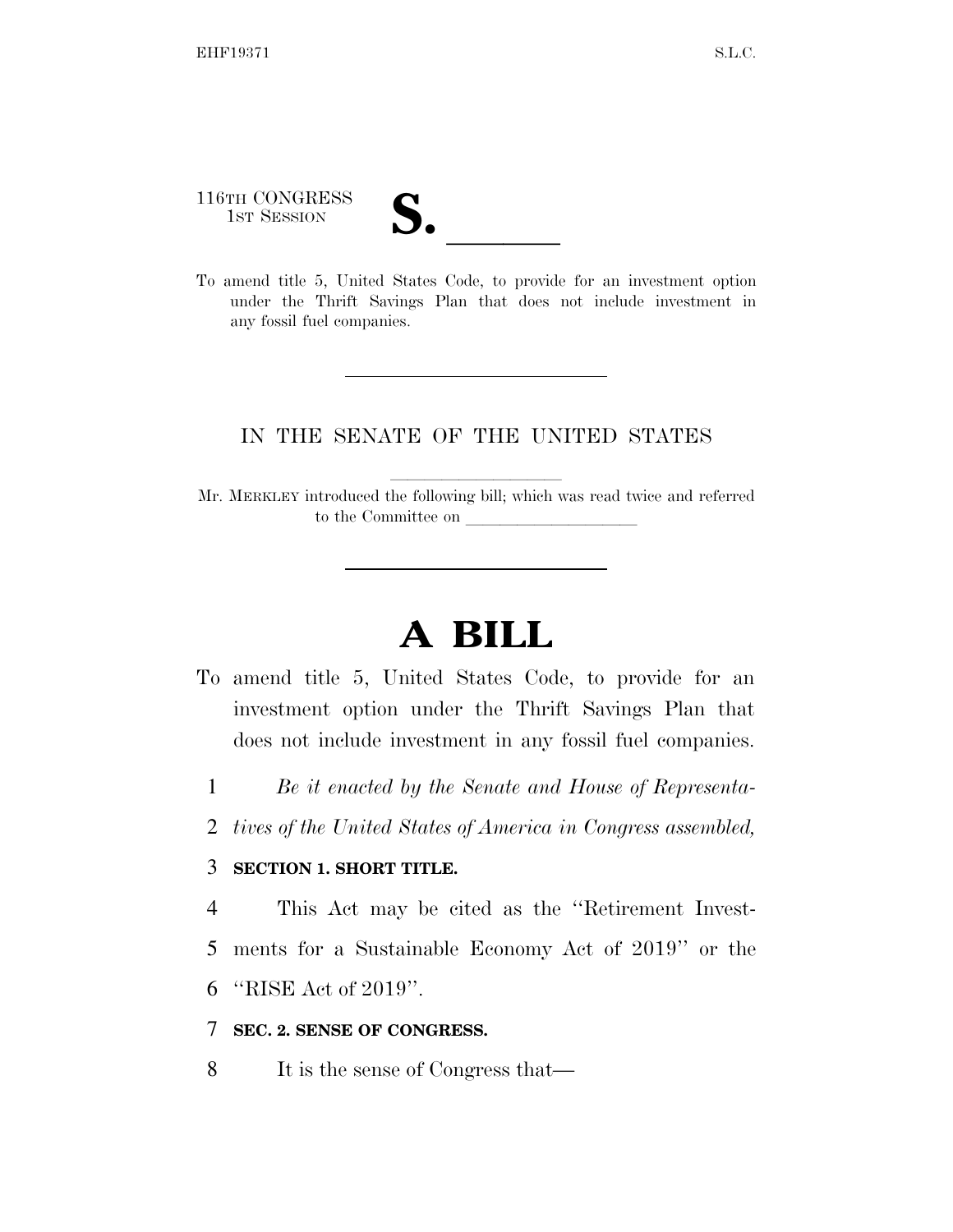116TH CONGRESS

116TH CONGRESS<br>
1ST SESSION<br>
To amend title 5, United States Code, to provide for an investment option under the Thrift Savings Plan that does not include investment in any fossil fuel companies.

## IN THE SENATE OF THE UNITED STATES

Mr. MERKLEY introduced the following bill; which was read twice and referred to the Committee on

## **A BILL**

- To amend title 5, United States Code, to provide for an investment option under the Thrift Savings Plan that does not include investment in any fossil fuel companies.
	- 1 *Be it enacted by the Senate and House of Representa-*
	- 2 *tives of the United States of America in Congress assembled,*

## 3 **SECTION 1. SHORT TITLE.**

4 This Act may be cited as the ''Retirement Invest-

- 5 ments for a Sustainable Economy Act of 2019'' or the
- 6 ''RISE Act of 2019''.
- 7 **SEC. 2. SENSE OF CONGRESS.**
- 8 It is the sense of Congress that—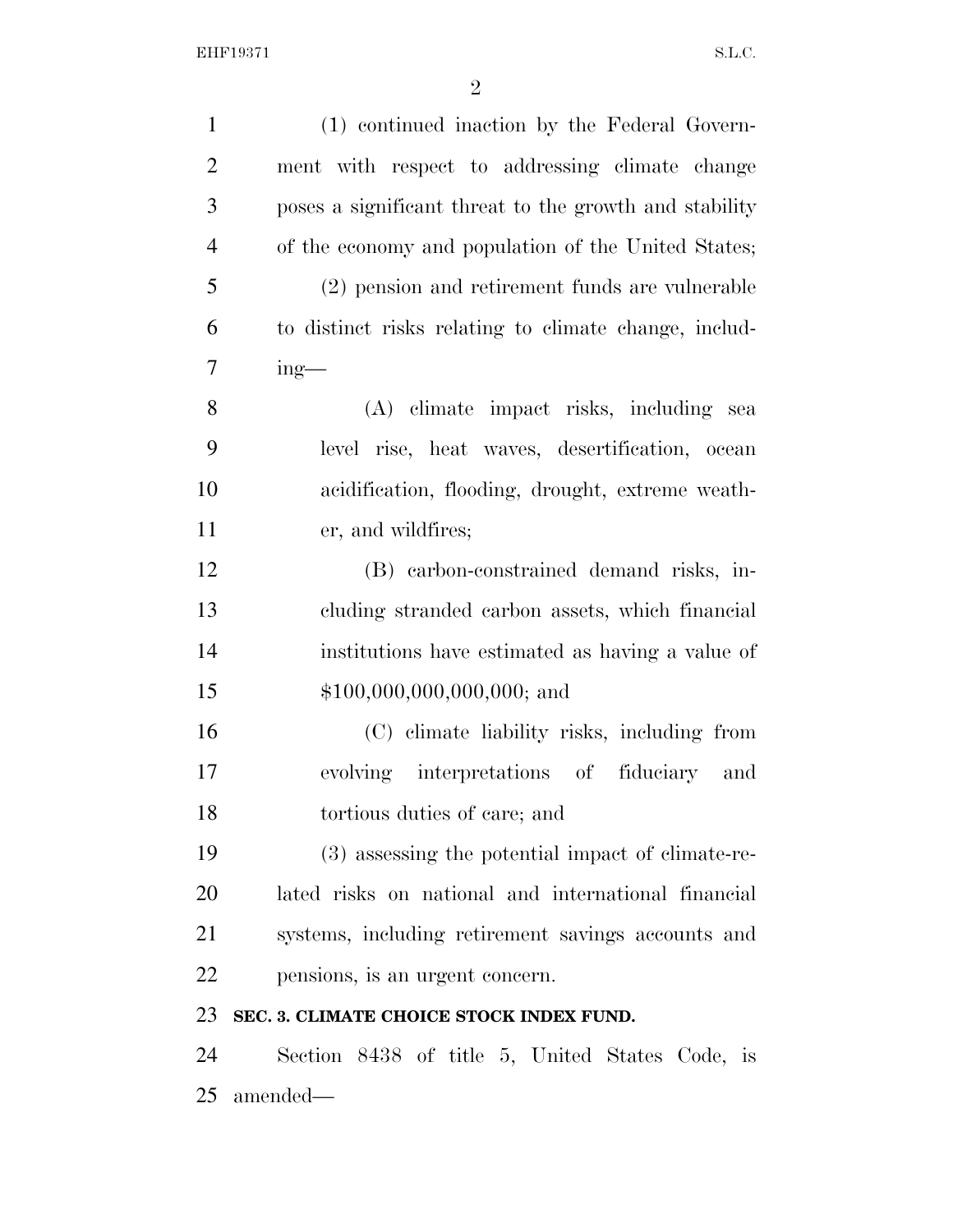| $\mathbf{1}$   | (1) continued inaction by the Federal Govern-          |
|----------------|--------------------------------------------------------|
| $\overline{2}$ | ment with respect to addressing climate change         |
| 3              | poses a significant threat to the growth and stability |
| $\overline{4}$ | of the economy and population of the United States;    |
| 5              | (2) pension and retirement funds are vulnerable        |
| 6              | to distinct risks relating to climate change, includ-  |
| 7              | $ing$ —                                                |
| 8              | (A) climate impact risks, including sea                |
| 9              | level rise, heat waves, desertification, ocean         |
| 10             | acidification, flooding, drought, extreme weath-       |
| 11             | er, and wildfires;                                     |
| 12             | (B) carbon-constrained demand risks, in-               |
| 13             | cluding stranded carbon assets, which financial        |
| 14             | institutions have estimated as having a value of       |
| 15             | $$100,000,000,000,000;$ and                            |
| 16             | (C) elimate liability risks, including from            |
| 17             | evolving interpretations of fiduciary and              |
| 18             | tortious duties of care; and                           |
| 19             | (3) assessing the potential impact of climate-re-      |
| 20             | lated risks on national and international financial    |
| 21             | systems, including retirement savings accounts and     |
| 22             | pensions, is an urgent concern.                        |
| 23             | SEC. 3. CLIMATE CHOICE STOCK INDEX FUND.               |
| 24             | Section 8438 of title 5, United States Code, is        |
|                |                                                        |

amended—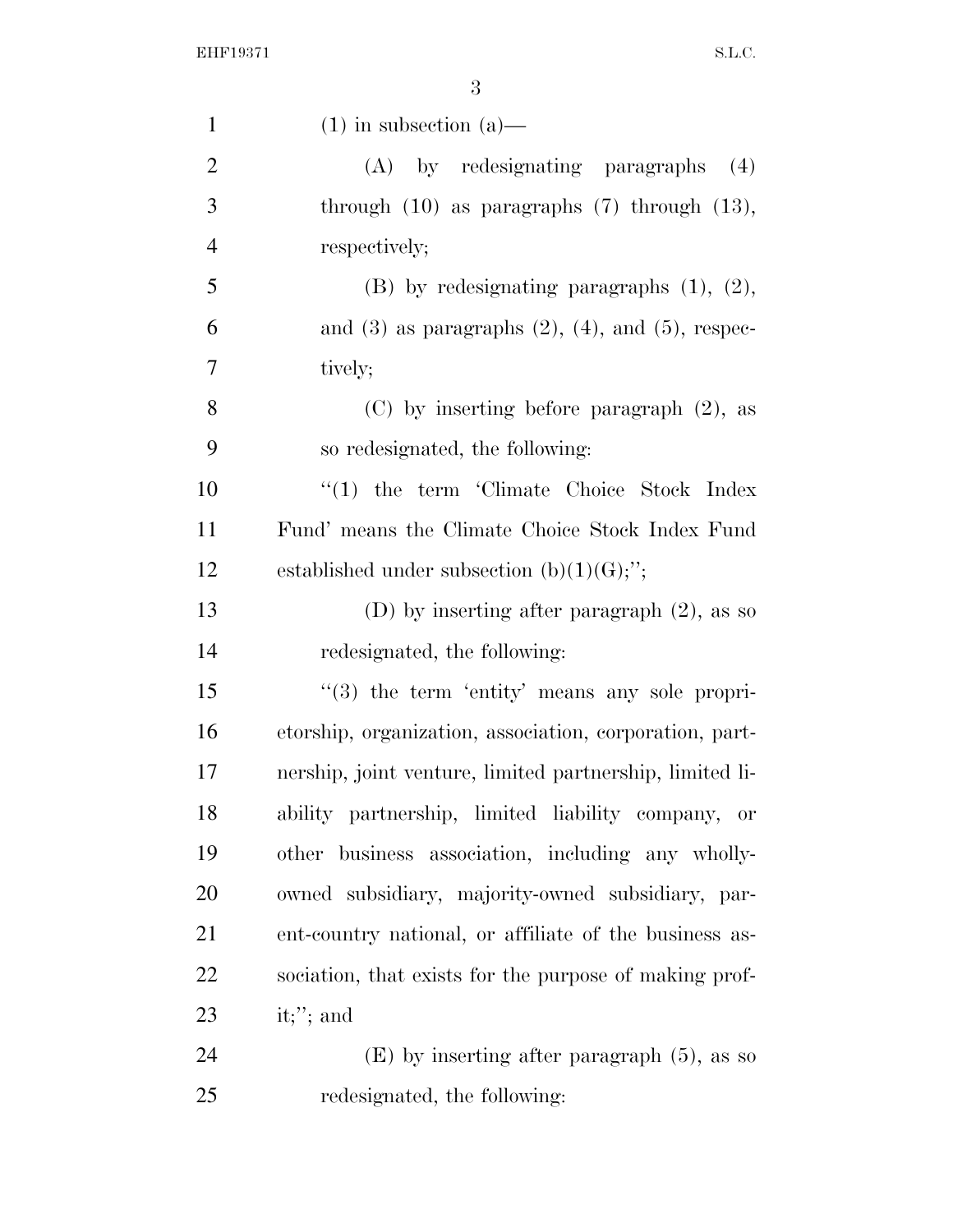| $\mathbf{1}$   | $(1)$ in subsection $(a)$ —                                 |
|----------------|-------------------------------------------------------------|
| $\overline{2}$ | by redesignating paragraphs<br>(A)<br>(4)                   |
| 3              | through $(10)$ as paragraphs $(7)$ through $(13)$ ,         |
| $\overline{4}$ | respectively;                                               |
| 5              | $(B)$ by redesignating paragraphs $(1)$ , $(2)$ ,           |
| 6              | and $(3)$ as paragraphs $(2)$ , $(4)$ , and $(5)$ , respec- |
| 7              | tively;                                                     |
| 8              | $(C)$ by inserting before paragraph $(2)$ , as              |
| 9              | so redesignated, the following:                             |
| 10             | $\lq(1)$ the term 'Climate Choice Stock Index               |
| 11             | Fund' means the Climate Choice Stock Index Fund             |
| 12             | established under subsection $(b)(1)(G);$ ";                |
| 13             | (D) by inserting after paragraph $(2)$ , as so              |
| 14             | redesignated, the following:                                |
| 15             | $\lq(3)$ the term 'entity' means any sole propri-           |
| 16             | etorship, organization, association, corporation, part-     |
| 17             | nership, joint venture, limited partnership, limited li-    |
| 18             | ability partnership, limited liability company, or          |
| 19             | other business association, including any wholly-           |
| 20             | owned subsidiary, majority-owned subsidiary, par-           |
| 21             | ent-country national, or affiliate of the business as-      |
| 22             | sociation, that exists for the purpose of making prof-      |
| 23             | it;"; and                                                   |
| 24             | $(E)$ by inserting after paragraph $(5)$ , as so            |
| 25             | redesignated, the following:                                |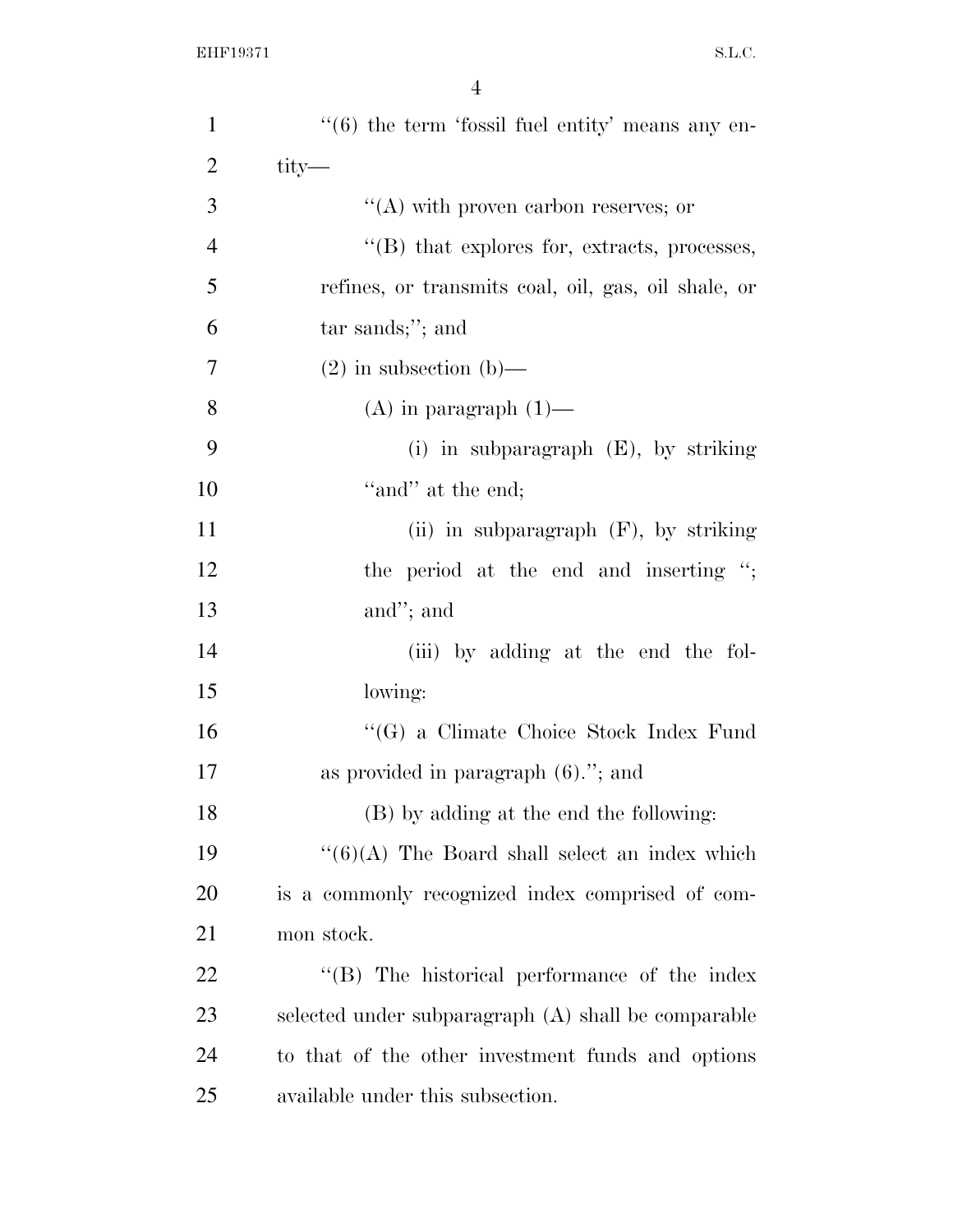| $\mathbf{1}$   | $\cdot\cdot$ (6) the term 'fossil fuel entity' means any en- |
|----------------|--------------------------------------------------------------|
| $\overline{2}$ | $\text{tity}$ —                                              |
| 3              | $\lq\lq$ with proven carbon reserves; or                     |
| $\overline{4}$ | $\lq$ (B) that explores for, extracts, processes,            |
| 5              | refines, or transmits coal, oil, gas, oil shale, or          |
| 6              | $tar$ sands;"; and                                           |
| $\overline{7}$ | $(2)$ in subsection $(b)$ —                                  |
| 8              | $(A)$ in paragraph $(1)$ —                                   |
| 9              | (i) in subparagraph $(E)$ , by striking                      |
| 10             | "and" at the end;                                            |
| 11             | (ii) in subparagraph $(F)$ , by striking                     |
| 12             | the period at the end and inserting ";                       |
| 13             | and"; and                                                    |
| 14             | (iii) by adding at the end the fol-                          |
| 15             | lowing:                                                      |
| 16             | "(G) a Climate Choice Stock Index Fund                       |
| 17             | as provided in paragraph $(6)$ ."; and                       |
| 18             | (B) by adding at the end the following:                      |
| 19             | $``(6)(A)$ The Board shall select an index which             |
| 20             | is a commonly recognized index comprised of com-             |
| 21             | mon stock.                                                   |
| 22             | "(B) The historical performance of the index                 |
| 23             | selected under subparagraph (A) shall be comparable          |
| 24             | to that of the other investment funds and options            |
| 25             | available under this subsection.                             |